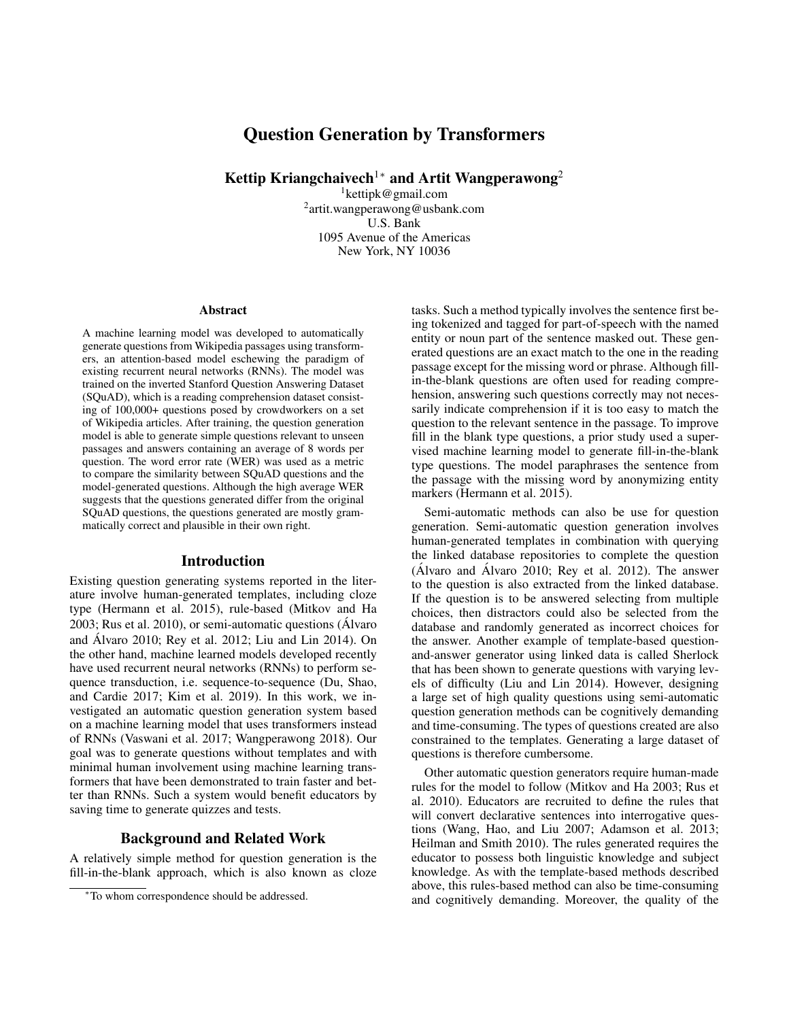# Question Generation by Transformers

Kettip Kriangchaivech<sup>1</sup><sup>∗</sup> and Artit Wangperawong<sup>2</sup>

<sup>1</sup>kettipk@gmail.com <sup>2</sup>artit.wangperawong@usbank.com U.S. Bank 1095 Avenue of the Americas New York, NY 10036

#### **Abstract**

A machine learning model was developed to automatically generate questions from Wikipedia passages using transformers, an attention-based model eschewing the paradigm of existing recurrent neural networks (RNNs). The model was trained on the inverted Stanford Question Answering Dataset (SQuAD), which is a reading comprehension dataset consisting of 100,000+ questions posed by crowdworkers on a set of Wikipedia articles. After training, the question generation model is able to generate simple questions relevant to unseen passages and answers containing an average of 8 words per question. The word error rate (WER) was used as a metric to compare the similarity between SQuAD questions and the model-generated questions. Although the high average WER suggests that the questions generated differ from the original SQuAD questions, the questions generated are mostly grammatically correct and plausible in their own right.

#### Introduction

Existing question generating systems reported in the literature involve human-generated templates, including cloze type (Hermann et al. 2015), rule-based (Mitkov and Ha 2003; Rus et al. 2010), or semi-automatic questions (Alvaro ´ and Alvaro 2010; Rey et al. 2012; Liu and Lin 2014). On ´ the other hand, machine learned models developed recently have used recurrent neural networks (RNNs) to perform sequence transduction, i.e. sequence-to-sequence (Du, Shao, and Cardie 2017; Kim et al. 2019). In this work, we investigated an automatic question generation system based on a machine learning model that uses transformers instead of RNNs (Vaswani et al. 2017; Wangperawong 2018). Our goal was to generate questions without templates and with minimal human involvement using machine learning transformers that have been demonstrated to train faster and better than RNNs. Such a system would benefit educators by saving time to generate quizzes and tests.

### Background and Related Work

A relatively simple method for question generation is the fill-in-the-blank approach, which is also known as cloze

tasks. Such a method typically involves the sentence first being tokenized and tagged for part-of-speech with the named entity or noun part of the sentence masked out. These generated questions are an exact match to the one in the reading passage except for the missing word or phrase. Although fillin-the-blank questions are often used for reading comprehension, answering such questions correctly may not necessarily indicate comprehension if it is too easy to match the question to the relevant sentence in the passage. To improve fill in the blank type questions, a prior study used a supervised machine learning model to generate fill-in-the-blank type questions. The model paraphrases the sentence from the passage with the missing word by anonymizing entity markers (Hermann et al. 2015).

Semi-automatic methods can also be use for question generation. Semi-automatic question generation involves human-generated templates in combination with querying the linked database repositories to complete the question  $(A)$  varo and  $A$  varo 2010; Rey et al. 2012). The answer to the question is also extracted from the linked database. If the question is to be answered selecting from multiple choices, then distractors could also be selected from the database and randomly generated as incorrect choices for the answer. Another example of template-based questionand-answer generator using linked data is called Sherlock that has been shown to generate questions with varying levels of difficulty (Liu and Lin 2014). However, designing a large set of high quality questions using semi-automatic question generation methods can be cognitively demanding and time-consuming. The types of questions created are also constrained to the templates. Generating a large dataset of questions is therefore cumbersome.

Other automatic question generators require human-made rules for the model to follow (Mitkov and Ha 2003; Rus et al. 2010). Educators are recruited to define the rules that will convert declarative sentences into interrogative questions (Wang, Hao, and Liu 2007; Adamson et al. 2013; Heilman and Smith 2010). The rules generated requires the educator to possess both linguistic knowledge and subject knowledge. As with the template-based methods described above, this rules-based method can also be time-consuming and cognitively demanding. Moreover, the quality of the

<sup>∗</sup>To whom correspondence should be addressed.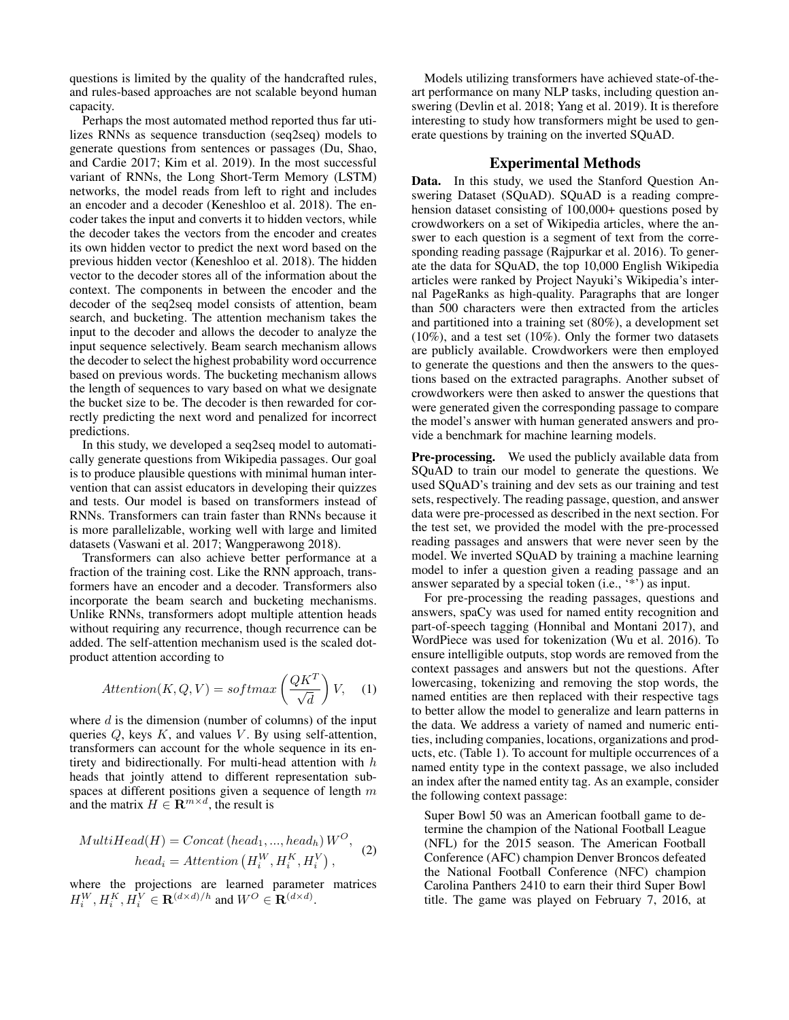questions is limited by the quality of the handcrafted rules, and rules-based approaches are not scalable beyond human capacity.

Perhaps the most automated method reported thus far utilizes RNNs as sequence transduction (seq2seq) models to generate questions from sentences or passages (Du, Shao, and Cardie 2017; Kim et al. 2019). In the most successful variant of RNNs, the Long Short-Term Memory (LSTM) networks, the model reads from left to right and includes an encoder and a decoder (Keneshloo et al. 2018). The encoder takes the input and converts it to hidden vectors, while the decoder takes the vectors from the encoder and creates its own hidden vector to predict the next word based on the previous hidden vector (Keneshloo et al. 2018). The hidden vector to the decoder stores all of the information about the context. The components in between the encoder and the decoder of the seq2seq model consists of attention, beam search, and bucketing. The attention mechanism takes the input to the decoder and allows the decoder to analyze the input sequence selectively. Beam search mechanism allows the decoder to select the highest probability word occurrence based on previous words. The bucketing mechanism allows the length of sequences to vary based on what we designate the bucket size to be. The decoder is then rewarded for correctly predicting the next word and penalized for incorrect predictions.

In this study, we developed a seq2seq model to automatically generate questions from Wikipedia passages. Our goal is to produce plausible questions with minimal human intervention that can assist educators in developing their quizzes and tests. Our model is based on transformers instead of RNNs. Transformers can train faster than RNNs because it is more parallelizable, working well with large and limited datasets (Vaswani et al. 2017; Wangperawong 2018).

Transformers can also achieve better performance at a fraction of the training cost. Like the RNN approach, transformers have an encoder and a decoder. Transformers also incorporate the beam search and bucketing mechanisms. Unlike RNNs, transformers adopt multiple attention heads without requiring any recurrence, though recurrence can be added. The self-attention mechanism used is the scaled dotproduct attention according to

$$
Attention(K, Q, V) = softmax\left(\frac{QK^T}{\sqrt{d}}\right)V, \quad (1)
$$

where  $d$  is the dimension (number of columns) of the input queries  $Q$ , keys  $K$ , and values  $V$ . By using self-attention, transformers can account for the whole sequence in its entirety and bidirectionally. For multi-head attention with h heads that jointly attend to different representation subspaces at different positions given a sequence of length  $m$ and the matrix  $H \in \mathbf{R}^{m \times d}$ , the result is

$$
MultiHead(H) = Concat\left( head_1, ..., head_h \right) W^O,
$$
  
\n
$$
head_i = Attention\left( H_i^W, H_i^K, H_i^V \right),
$$
 (2)

where the projections are learned parameter matrices  $H_i^W, H_i^K, H_i^V \in \mathbf{R}^{(d \times d)/h}$  and  $W^O \in \mathbf{R}^{(d \times d)}$ .

Models utilizing transformers have achieved state-of-theart performance on many NLP tasks, including question answering (Devlin et al. 2018; Yang et al. 2019). It is therefore interesting to study how transformers might be used to generate questions by training on the inverted SQuAD.

## Experimental Methods

Data. In this study, we used the Stanford Question Answering Dataset (SQuAD). SQuAD is a reading comprehension dataset consisting of 100,000+ questions posed by crowdworkers on a set of Wikipedia articles, where the answer to each question is a segment of text from the corresponding reading passage (Rajpurkar et al. 2016). To generate the data for SQuAD, the top 10,000 English Wikipedia articles were ranked by Project Nayuki's Wikipedia's internal PageRanks as high-quality. Paragraphs that are longer than 500 characters were then extracted from the articles and partitioned into a training set (80%), a development set  $(10\%)$ , and a test set  $(10\%)$ . Only the former two datasets are publicly available. Crowdworkers were then employed to generate the questions and then the answers to the questions based on the extracted paragraphs. Another subset of crowdworkers were then asked to answer the questions that were generated given the corresponding passage to compare the model's answer with human generated answers and provide a benchmark for machine learning models.

Pre-processing. We used the publicly available data from SQuAD to train our model to generate the questions. We used SQuAD's training and dev sets as our training and test sets, respectively. The reading passage, question, and answer data were pre-processed as described in the next section. For the test set, we provided the model with the pre-processed reading passages and answers that were never seen by the model. We inverted SQuAD by training a machine learning model to infer a question given a reading passage and an answer separated by a special token (i.e., '\*') as input.

For pre-processing the reading passages, questions and answers, spaCy was used for named entity recognition and part-of-speech tagging (Honnibal and Montani 2017), and WordPiece was used for tokenization (Wu et al. 2016). To ensure intelligible outputs, stop words are removed from the context passages and answers but not the questions. After lowercasing, tokenizing and removing the stop words, the named entities are then replaced with their respective tags to better allow the model to generalize and learn patterns in the data. We address a variety of named and numeric entities, including companies, locations, organizations and products, etc. (Table 1). To account for multiple occurrences of a named entity type in the context passage, we also included an index after the named entity tag. As an example, consider the following context passage:

Super Bowl 50 was an American football game to determine the champion of the National Football League (NFL) for the 2015 season. The American Football Conference (AFC) champion Denver Broncos defeated the National Football Conference (NFC) champion Carolina Panthers 2410 to earn their third Super Bowl title. The game was played on February 7, 2016, at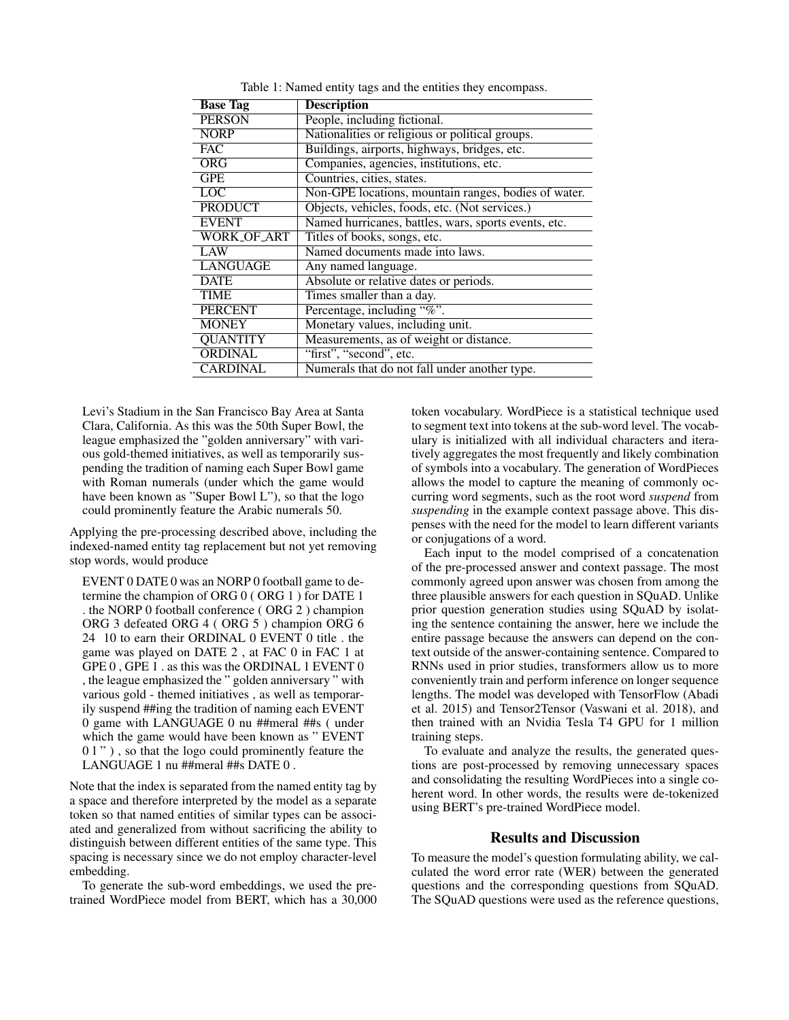| <b>Base Tag</b> | <b>Description</b>                                   |  |  |
|-----------------|------------------------------------------------------|--|--|
| <b>PERSON</b>   | People, including fictional.                         |  |  |
| <b>NORP</b>     | Nationalities or religious or political groups.      |  |  |
| <b>FAC</b>      | Buildings, airports, highways, bridges, etc.         |  |  |
| <b>ORG</b>      | Companies, agencies, institutions, etc.              |  |  |
| <b>GPE</b>      | Countries, cities, states.                           |  |  |
| <b>LOC</b>      | Non-GPE locations, mountain ranges, bodies of water. |  |  |
| <b>PRODUCT</b>  | Objects, vehicles, foods, etc. (Not services.)       |  |  |
| <b>EVENT</b>    | Named hurricanes, battles, wars, sports events, etc. |  |  |
| WORK_OF_ART     | Titles of books, songs, etc.                         |  |  |
| LAW             | Named documents made into laws.                      |  |  |
| <b>LANGUAGE</b> | Any named language.                                  |  |  |
| <b>DATE</b>     | Absolute or relative dates or periods.               |  |  |
| <b>TIME</b>     | Times smaller than a day.                            |  |  |
| <b>PERCENT</b>  | Percentage, including "%".                           |  |  |
| <b>MONEY</b>    | Monetary values, including unit.                     |  |  |
| <b>QUANTITY</b> | Measurements, as of weight or distance.              |  |  |
| <b>ORDINAL</b>  | "first", "second", etc.                              |  |  |
| <b>CARDINAL</b> | Numerals that do not fall under another type.        |  |  |

Table 1: Named entity tags and the entities they encompass.

Levi's Stadium in the San Francisco Bay Area at Santa Clara, California. As this was the 50th Super Bowl, the league emphasized the "golden anniversary" with various gold-themed initiatives, as well as temporarily suspending the tradition of naming each Super Bowl game with Roman numerals (under which the game would have been known as "Super Bowl L"), so that the logo could prominently feature the Arabic numerals 50.

Applying the pre-processing described above, including the indexed-named entity tag replacement but not yet removing stop words, would produce

EVENT 0 DATE 0 was an NORP 0 football game to determine the champion of ORG 0 ( ORG 1 ) for DATE 1 . the NORP 0 football conference ( ORG 2 ) champion ORG 3 defeated ORG 4 ( ORG 5 ) champion ORG 6 24 10 to earn their ORDINAL 0 EVENT 0 title . the game was played on DATE 2 , at FAC 0 in FAC 1 at GPE 0 , GPE 1 . as this was the ORDINAL 1 EVENT 0 , the league emphasized the " golden anniversary " with various gold - themed initiatives , as well as temporarily suspend ##ing the tradition of naming each EVENT 0 game with LANGUAGE 0 nu ##meral ##s ( under which the game would have been known as " EVENT 0 l " ), so that the logo could prominently feature the LANGUAGE 1 nu ##meral ##s DATE 0 .

Note that the index is separated from the named entity tag by a space and therefore interpreted by the model as a separate token so that named entities of similar types can be associated and generalized from without sacrificing the ability to distinguish between different entities of the same type. This spacing is necessary since we do not employ character-level embedding.

To generate the sub-word embeddings, we used the pretrained WordPiece model from BERT, which has a 30,000 token vocabulary. WordPiece is a statistical technique used to segment text into tokens at the sub-word level. The vocabulary is initialized with all individual characters and iteratively aggregates the most frequently and likely combination of symbols into a vocabulary. The generation of WordPieces allows the model to capture the meaning of commonly occurring word segments, such as the root word *suspend* from *suspending* in the example context passage above. This dispenses with the need for the model to learn different variants or conjugations of a word.

Each input to the model comprised of a concatenation of the pre-processed answer and context passage. The most commonly agreed upon answer was chosen from among the three plausible answers for each question in SQuAD. Unlike prior question generation studies using SQuAD by isolating the sentence containing the answer, here we include the entire passage because the answers can depend on the context outside of the answer-containing sentence. Compared to RNNs used in prior studies, transformers allow us to more conveniently train and perform inference on longer sequence lengths. The model was developed with TensorFlow (Abadi et al. 2015) and Tensor2Tensor (Vaswani et al. 2018), and then trained with an Nvidia Tesla T4 GPU for 1 million training steps.

To evaluate and analyze the results, the generated questions are post-processed by removing unnecessary spaces and consolidating the resulting WordPieces into a single coherent word. In other words, the results were de-tokenized using BERT's pre-trained WordPiece model.

#### Results and Discussion

To measure the model's question formulating ability, we calculated the word error rate (WER) between the generated questions and the corresponding questions from SQuAD. The SQuAD questions were used as the reference questions,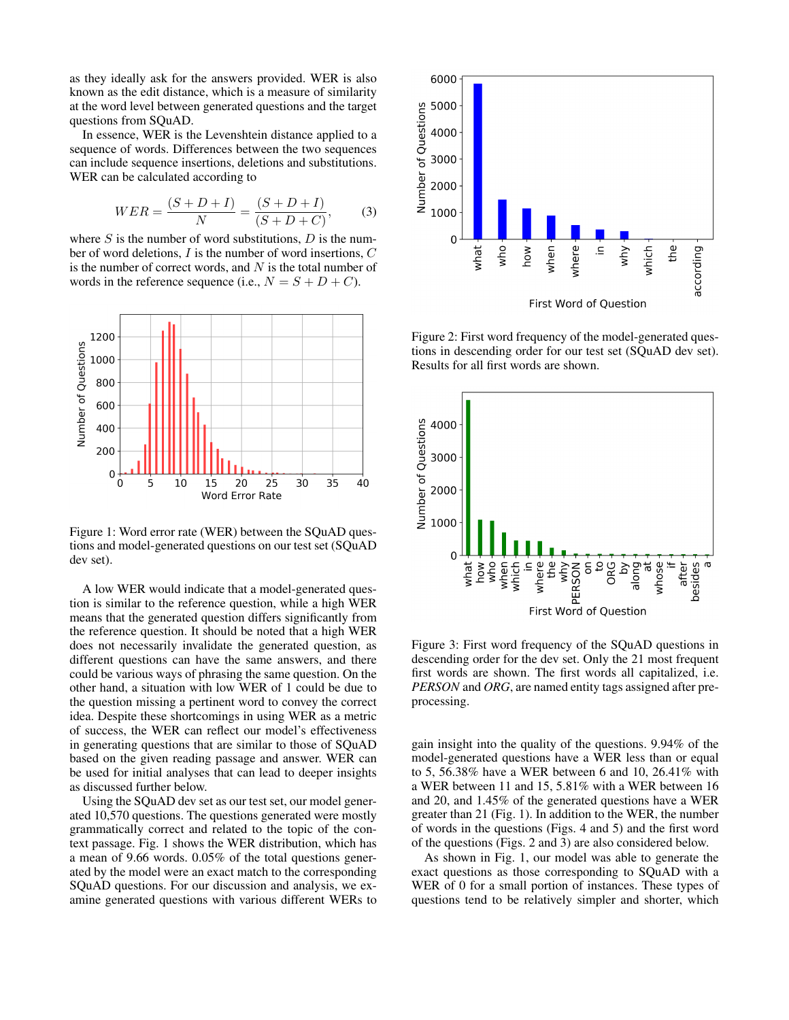as they ideally ask for the answers provided. WER is also known as the edit distance, which is a measure of similarity at the word level between generated questions and the target questions from SQuAD.

In essence, WER is the Levenshtein distance applied to a sequence of words. Differences between the two sequences can include sequence insertions, deletions and substitutions. WER can be calculated according to

$$
WER = \frac{(S+D+I)}{N} = \frac{(S+D+I)}{(S+D+C)},
$$
 (3)

where  $S$  is the number of word substitutions,  $D$  is the number of word deletions, I is the number of word insertions, C is the number of correct words, and  $N$  is the total number of words in the reference sequence (i.e.,  $N = S + D + C$ ).



Figure 1: Word error rate (WER) between the SQuAD questions and model-generated questions on our test set (SQuAD dev set).

A low WER would indicate that a model-generated question is similar to the reference question, while a high WER means that the generated question differs significantly from the reference question. It should be noted that a high WER does not necessarily invalidate the generated question, as different questions can have the same answers, and there could be various ways of phrasing the same question. On the other hand, a situation with low WER of 1 could be due to the question missing a pertinent word to convey the correct idea. Despite these shortcomings in using WER as a metric of success, the WER can reflect our model's effectiveness in generating questions that are similar to those of SQuAD based on the given reading passage and answer. WER can be used for initial analyses that can lead to deeper insights as discussed further below.

Using the SQuAD dev set as our test set, our model generated 10,570 questions. The questions generated were mostly grammatically correct and related to the topic of the context passage. Fig. 1 shows the WER distribution, which has a mean of 9.66 words. 0.05% of the total questions generated by the model were an exact match to the corresponding SQuAD questions. For our discussion and analysis, we examine generated questions with various different WERs to



Figure 2: First word frequency of the model-generated questions in descending order for our test set (SQuAD dev set). Results for all first words are shown.



Figure 3: First word frequency of the SQuAD questions in descending order for the dev set. Only the 21 most frequent first words are shown. The first words all capitalized, i.e. *PERSON* and *ORG*, are named entity tags assigned after preprocessing.

gain insight into the quality of the questions. 9.94% of the model-generated questions have a WER less than or equal to 5, 56.38% have a WER between 6 and 10, 26.41% with a WER between 11 and 15, 5.81% with a WER between 16 and 20, and 1.45% of the generated questions have a WER greater than 21 (Fig. 1). In addition to the WER, the number of words in the questions (Figs. 4 and 5) and the first word of the questions (Figs. 2 and 3) are also considered below.

As shown in Fig. 1, our model was able to generate the exact questions as those corresponding to SQuAD with a WER of 0 for a small portion of instances. These types of questions tend to be relatively simpler and shorter, which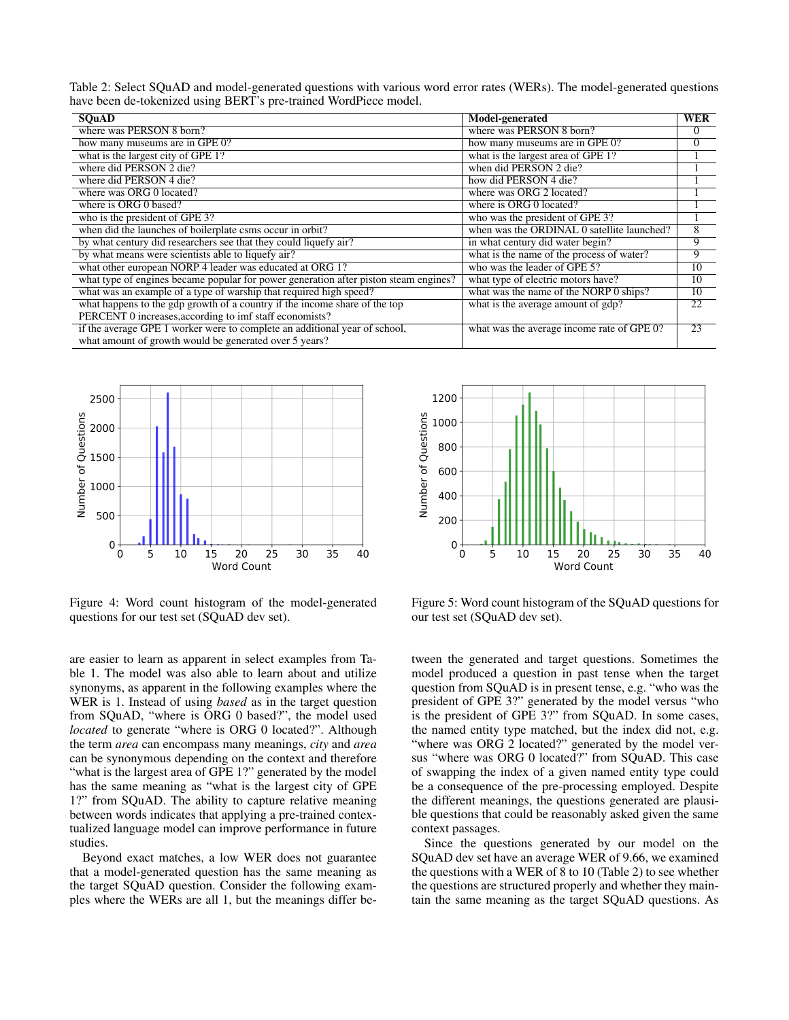Table 2: Select SQuAD and model-generated questions with various word error rates (WERs). The model-generated questions have been de-tokenized using BERT's pre-trained WordPiece model.

| <b>SOuAD</b>                                                                         | Model-generated                            | <b>WER</b> |
|--------------------------------------------------------------------------------------|--------------------------------------------|------------|
| where was PERSON 8 born?                                                             | where was PERSON 8 born?                   | $\Omega$   |
| how many museums are in GPE 0?                                                       | how many museums are in GPE 0?             | $\Omega$   |
| what is the largest city of GPE 1?                                                   | what is the largest area of GPE 1?         |            |
| where did PERSON 2 die?                                                              | when did PERSON 2 die?                     |            |
| where did PERSON 4 die?                                                              | how did PERSON 4 die?                      |            |
| where was ORG 0 located?                                                             | where was ORG 2 located?                   |            |
| where is ORG 0 based?                                                                | where is ORG 0 located?                    |            |
| who is the president of GPE 3?                                                       | who was the president of GPE 3?            |            |
| when did the launches of boilerplate csms occur in orbit?                            | when was the ORDINAL 0 satellite launched? | 8          |
| by what century did researchers see that they could liquefy air?                     | in what century did water begin?           | 9          |
| by what means were scientists able to liquefy air?                                   | what is the name of the process of water?  | 9          |
| what other european NORP 4 leader was educated at ORG 1?                             | who was the leader of GPE 5?               | 10         |
| what type of engines became popular for power generation after piston steam engines? | what type of electric motors have?         | 10         |
| what was an example of a type of warship that required high speed?                   | what was the name of the NORP 0 ships?     | 10         |
| what happens to the gdp growth of a country if the income share of the top           | what is the average amount of gdp?         | 22         |
| PERCENT 0 increases, according to imf staff economists?                              |                                            |            |
| if the average GPE 1 worker were to complete an additional year of school,           | what was the average income rate of GPE 0? | 23         |
| what amount of growth would be generated over 5 years?                               |                                            |            |



Figure 4: Word count histogram of the model-generated questions for our test set (SQuAD dev set).

are easier to learn as apparent in select examples from Table 1. The model was also able to learn about and utilize synonyms, as apparent in the following examples where the WER is 1. Instead of using *based* as in the target question from SQuAD, "where is ORG 0 based?", the model used *located* to generate "where is ORG 0 located?". Although the term *area* can encompass many meanings, *city* and *area* can be synonymous depending on the context and therefore "what is the largest area of GPE 1?" generated by the model has the same meaning as "what is the largest city of GPE 1?" from SQuAD. The ability to capture relative meaning between words indicates that applying a pre-trained contextualized language model can improve performance in future studies.

Beyond exact matches, a low WER does not guarantee that a model-generated question has the same meaning as the target SQuAD question. Consider the following examples where the WERs are all 1, but the meanings differ be-



Figure 5: Word count histogram of the SQuAD questions for our test set (SQuAD dev set).

tween the generated and target questions. Sometimes the model produced a question in past tense when the target question from SQuAD is in present tense, e.g. "who was the president of GPE 3?" generated by the model versus "who is the president of GPE 3?" from SQuAD. In some cases, the named entity type matched, but the index did not, e.g. "where was ORG 2 located?" generated by the model versus "where was ORG 0 located?" from SQuAD. This case of swapping the index of a given named entity type could be a consequence of the pre-processing employed. Despite the different meanings, the questions generated are plausible questions that could be reasonably asked given the same context passages.

Since the questions generated by our model on the SQuAD dev set have an average WER of 9.66, we examined the questions with a WER of 8 to 10 (Table 2) to see whether the questions are structured properly and whether they maintain the same meaning as the target SQuAD questions. As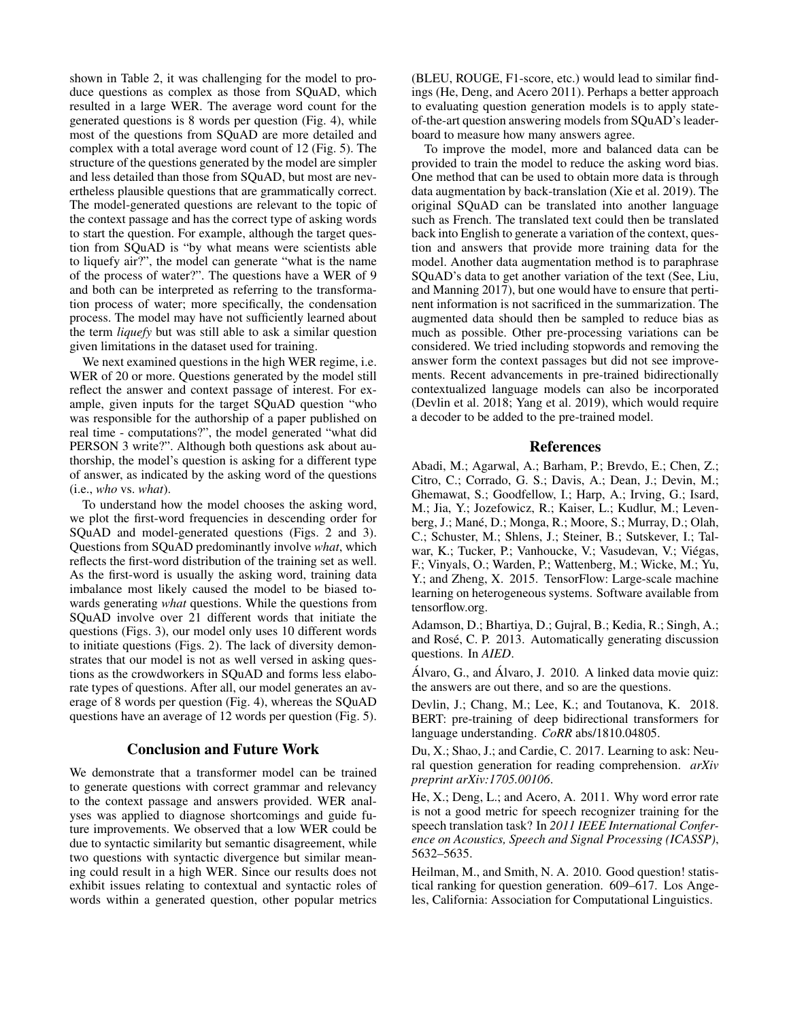shown in Table 2, it was challenging for the model to produce questions as complex as those from SQuAD, which resulted in a large WER. The average word count for the generated questions is 8 words per question (Fig. 4), while most of the questions from SQuAD are more detailed and complex with a total average word count of 12 (Fig. 5). The structure of the questions generated by the model are simpler and less detailed than those from SQuAD, but most are nevertheless plausible questions that are grammatically correct. The model-generated questions are relevant to the topic of the context passage and has the correct type of asking words to start the question. For example, although the target question from SQuAD is "by what means were scientists able to liquefy air?", the model can generate "what is the name of the process of water?". The questions have a WER of 9 and both can be interpreted as referring to the transformation process of water; more specifically, the condensation process. The model may have not sufficiently learned about the term *liquefy* but was still able to ask a similar question given limitations in the dataset used for training.

We next examined questions in the high WER regime, i.e. WER of 20 or more. Questions generated by the model still reflect the answer and context passage of interest. For example, given inputs for the target SQuAD question "who was responsible for the authorship of a paper published on real time - computations?", the model generated "what did PERSON 3 write?". Although both questions ask about authorship, the model's question is asking for a different type of answer, as indicated by the asking word of the questions (i.e., *who* vs. *what*).

To understand how the model chooses the asking word, we plot the first-word frequencies in descending order for SQuAD and model-generated questions (Figs. 2 and 3). Questions from SQuAD predominantly involve *what*, which reflects the first-word distribution of the training set as well. As the first-word is usually the asking word, training data imbalance most likely caused the model to be biased towards generating *what* questions. While the questions from SQuAD involve over 21 different words that initiate the questions (Figs. 3), our model only uses 10 different words to initiate questions (Figs. 2). The lack of diversity demonstrates that our model is not as well versed in asking questions as the crowdworkers in SQuAD and forms less elaborate types of questions. After all, our model generates an average of 8 words per question (Fig. 4), whereas the SQuAD questions have an average of 12 words per question (Fig. 5).

### Conclusion and Future Work

We demonstrate that a transformer model can be trained to generate questions with correct grammar and relevancy to the context passage and answers provided. WER analyses was applied to diagnose shortcomings and guide future improvements. We observed that a low WER could be due to syntactic similarity but semantic disagreement, while two questions with syntactic divergence but similar meaning could result in a high WER. Since our results does not exhibit issues relating to contextual and syntactic roles of words within a generated question, other popular metrics

(BLEU, ROUGE, F1-score, etc.) would lead to similar findings (He, Deng, and Acero 2011). Perhaps a better approach to evaluating question generation models is to apply stateof-the-art question answering models from SQuAD's leaderboard to measure how many answers agree.

To improve the model, more and balanced data can be provided to train the model to reduce the asking word bias. One method that can be used to obtain more data is through data augmentation by back-translation (Xie et al. 2019). The original SQuAD can be translated into another language such as French. The translated text could then be translated back into English to generate a variation of the context, question and answers that provide more training data for the model. Another data augmentation method is to paraphrase SQuAD's data to get another variation of the text (See, Liu, and Manning 2017), but one would have to ensure that pertinent information is not sacrificed in the summarization. The augmented data should then be sampled to reduce bias as much as possible. Other pre-processing variations can be considered. We tried including stopwords and removing the answer form the context passages but did not see improvements. Recent advancements in pre-trained bidirectionally contextualized language models can also be incorporated (Devlin et al. 2018; Yang et al. 2019), which would require a decoder to be added to the pre-trained model.

## References

Abadi, M.; Agarwal, A.; Barham, P.; Brevdo, E.; Chen, Z.; Citro, C.; Corrado, G. S.; Davis, A.; Dean, J.; Devin, M.; Ghemawat, S.; Goodfellow, I.; Harp, A.; Irving, G.; Isard, M.; Jia, Y.; Jozefowicz, R.; Kaiser, L.; Kudlur, M.; Levenberg, J.; Mané, D.; Monga, R.; Moore, S.; Murray, D.; Olah, C.; Schuster, M.; Shlens, J.; Steiner, B.; Sutskever, I.; Talwar, K.; Tucker, P.; Vanhoucke, V.; Vasudevan, V.; Viégas, F.; Vinyals, O.; Warden, P.; Wattenberg, M.; Wicke, M.; Yu, Y.; and Zheng, X. 2015. TensorFlow: Large-scale machine learning on heterogeneous systems. Software available from tensorflow.org.

Adamson, D.; Bhartiya, D.; Gujral, B.; Kedia, R.; Singh, A.; and Rosé, C. P. 2013. Automatically generating discussion questions. In *AIED*.

Álvaro, G., and Álvaro, J. 2010. A linked data movie quiz: the answers are out there, and so are the questions.

Devlin, J.; Chang, M.; Lee, K.; and Toutanova, K. 2018. BERT: pre-training of deep bidirectional transformers for language understanding. *CoRR* abs/1810.04805.

Du, X.; Shao, J.; and Cardie, C. 2017. Learning to ask: Neural question generation for reading comprehension. *arXiv preprint arXiv:1705.00106*.

He, X.; Deng, L.; and Acero, A. 2011. Why word error rate is not a good metric for speech recognizer training for the speech translation task? In *2011 IEEE International Conference on Acoustics, Speech and Signal Processing (ICASSP)*, 5632–5635.

Heilman, M., and Smith, N. A. 2010. Good question! statistical ranking for question generation. 609–617. Los Angeles, California: Association for Computational Linguistics.